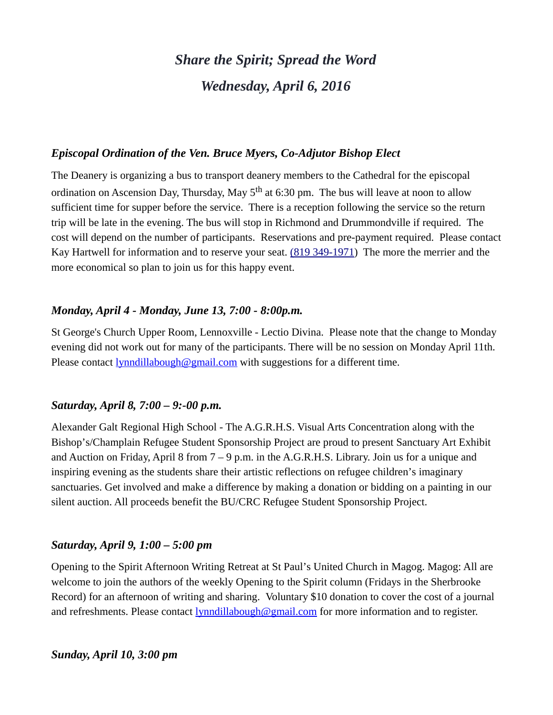# *Share the Spirit; Spread the Word Wednesday, April 6, 2016*

# *Episcopal Ordination of the Ven. Bruce Myers, Co-Adjutor Bishop Elect*

The Deanery is organizing a bus to transport deanery members to the Cathedral for the episcopal ordination on Ascension Day, Thursday, May  $5<sup>th</sup>$  at 6:30 pm. The bus will leave at noon to allow sufficient time for supper before the service. There is a reception following the service so the return trip will be late in the evening. The bus will stop in Richmond and Drummondville if required. The cost will depend on the number of participants. Reservations and pre-payment required. Please contact Kay Hartwell for information and to reserve your seat. [\(819 349-1971\)](tel:(819%20349-1971) The more the merrier and the more economical so plan to join us for this happy event.

# *Monday, April 4 - Monday, June 13, 7:00 - 8:00p.m.*

St George's Church Upper Room, Lennoxville - Lectio Divina. Please note that the change to Monday evening did not work out for many of the participants. There will be no session on Monday April 11th. Please contact **lynndillabough@gmail.com** with suggestions for a different time.

# *Saturday, April 8, 7:00 – 9:-00 p.m.*

Alexander Galt Regional High School - The A.G.R.H.S. Visual Arts Concentration along with the Bishop's/Champlain Refugee Student Sponsorship Project are proud to present Sanctuary Art Exhibit and Auction on Friday, April 8 from  $7 - 9$  p.m. in the A.G.R.H.S. Library. Join us for a unique and inspiring evening as the students share their artistic reflections on refugee children's imaginary sanctuaries. Get involved and make a difference by making a donation or bidding on a painting in our silent auction. All proceeds benefit the BU/CRC Refugee Student Sponsorship Project.

#### *Saturday, April 9, 1:00 – 5:00 pm*

Opening to the Spirit Afternoon Writing Retreat at St Paul's United Church in Magog. Magog: All are welcome to join the authors of the weekly Opening to the Spirit column (Fridays in the Sherbrooke Record) for an afternoon of writing and sharing. Voluntary \$10 donation to cover the cost of a journal and refreshments. Please contact [lynndillabough@gmail.com](https://webmail.ubishops.ca/owa/redir.aspx?SURL=0TDUtmhxNBR-zF--M-US9RkmIL7_pc2nQV-AGspegafVnrL4zk3TCG0AYQBpAGwAdABvADoAbAB5AG4AbgBkAGkAbABsAGEAYgBvAHUAZwBoAEAAZwBtAGEAaQBsAC4AYwBvAG0A&URL=mailto%3Alynndillabough@gmail.com) for more information and to register.

#### *Sunday, April 10, 3:00 pm*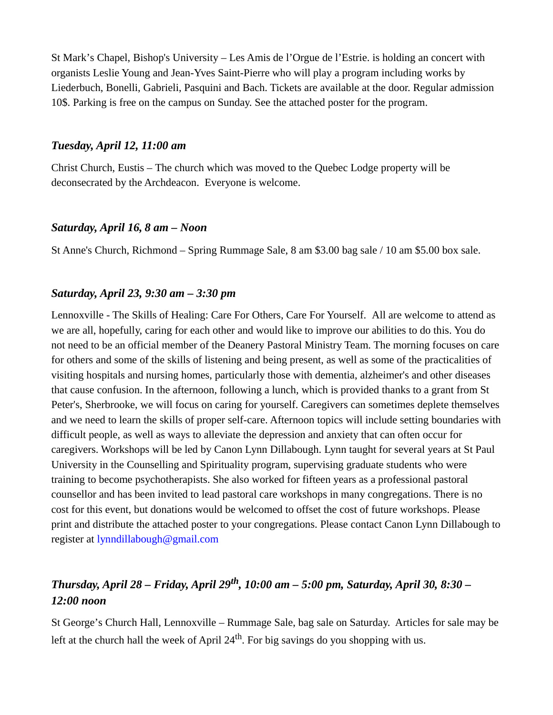St Mark's Chapel, Bishop's University – Les Amis de l'Orgue de l'Estrie. is holding an concert with organists Leslie Young and Jean-Yves Saint-Pierre who will play a program including works by Liederbuch, Bonelli, Gabrieli, Pasquini and Bach. Tickets are available at the door. Regular admission 10\$. Parking is free on the campus on Sunday. See the attached poster for the program.

# *Tuesday, April 12, 11:00 am*

Christ Church, Eustis – The church which was moved to the Quebec Lodge property will be deconsecrated by the Archdeacon. Everyone is welcome.

# *Saturday, April 16, 8 am – Noon*

St Anne's Church, Richmond – Spring Rummage Sale, 8 am \$3.00 bag sale / 10 am \$5.00 box sale.

# *Saturday, April 23, 9:30 am – 3:30 pm*

Lennoxville - The Skills of Healing: Care For Others, Care For Yourself. All are welcome to attend as we are all, hopefully, caring for each other and would like to improve our abilities to do this. You do not need to be an official member of the Deanery Pastoral Ministry Team. The morning focuses on care for others and some of the skills of listening and being present, as well as some of the practicalities of visiting hospitals and nursing homes, particularly those with dementia, alzheimer's and other diseases that cause confusion. In the afternoon, following a lunch, which is provided thanks to a grant from St Peter's, Sherbrooke, we will focus on caring for yourself. Caregivers can sometimes deplete themselves and we need to learn the skills of proper self-care. Afternoon topics will include setting boundaries with difficult people, as well as ways to alleviate the depression and anxiety that can often occur for caregivers. Workshops will be led by Canon Lynn Dillabough. Lynn taught for several years at St Paul University in the Counselling and Spirituality program, supervising graduate students who were training to become psychotherapists. She also worked for fifteen years as a professional pastoral counsellor and has been invited to lead pastoral care workshops in many congregations. There is no cost for this event, but donations would be welcomed to offset the cost of future workshops. Please print and distribute the attached poster to your congregations. Please contact Canon Lynn Dillabough to register at [lynndillabough@gmail.com](https://webmail.ubishops.ca/owa/redir.aspx?SURL=hdjYUT7WCUNYqFZijozknMHWJ3aRy6vsqTzrilp56ZtP3_2s-BXTCG0AYQBpAGwAdABvADoAbAB5AG4AbgBkAGkAbABsAGEAYgBvAHUAZwBoAEAAZwBtAGEAaQBsAC4AYwBvAG0A&URL=mailto%3Alynndillabough@gmail.com)

# *Thursday, April 28 – Friday, April 29th, 10:00 am – 5:00 pm, Saturday, April 30, 8:30 – 12:00 noon*

St George's Church Hall, Lennoxville – Rummage Sale, bag sale on Saturday. Articles for sale may be left at the church hall the week of April  $24<sup>th</sup>$ . For big savings do you shopping with us.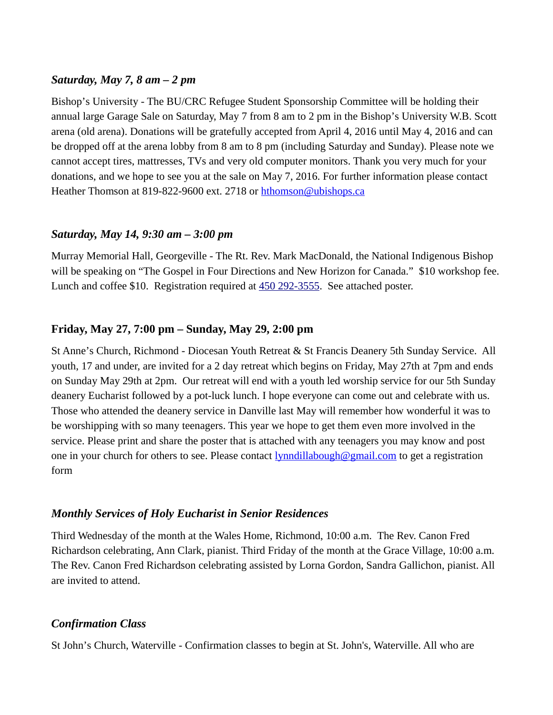# *Saturday, May 7, 8 am – 2 pm*

Bishop's University - The BU/CRC Refugee Student Sponsorship Committee will be holding their annual large Garage Sale on Saturday, May 7 from 8 am to 2 pm in the Bishop's University W.B. Scott arena (old arena). Donations will be gratefully accepted from April 4, 2016 until May 4, 2016 and can be dropped off at the arena lobby from 8 am to 8 pm (including Saturday and Sunday). Please note we cannot accept tires, mattresses, TVs and very old computer monitors. Thank you very much for your donations, and we hope to see you at the sale on May 7, 2016. For further information please contact Heather Thomson at 819-822-9600 ext. 2718 or [hthomson@ubishops.ca](https://webmail.ubishops.ca/owa/redir.aspx?REF=FLnmocQHos1aSS6_izloWzXz-vn948huD0NonW8iwmC1KgSOCljTCAFtYWlsdG86aHRob21zb25AdWJpc2hvcHMuY2E.)

# *Saturday, May 14, 9:30 am – 3:00 pm*

Murray Memorial Hall, Georgeville - The Rt. Rev. Mark MacDonald, the National Indigenous Bishop will be speaking on "The Gospel in Four Directions and New Horizon for Canada." \$10 workshop fee. Lunch and coffee \$10. Registration required at [450 292-3555.](tel:450%20292-3555) See attached poster.

# **Friday, May 27, 7:00 pm – Sunday, May 29, 2:00 pm**

St Anne's Church, Richmond - Diocesan Youth Retreat & St Francis Deanery 5th Sunday Service. All youth, 17 and under, are invited for a 2 day retreat which begins on Friday, May 27th at 7pm and ends on Sunday May 29th at 2pm. Our retreat will end with a youth led worship service for our 5th Sunday deanery Eucharist followed by a pot-luck lunch. I hope everyone can come out and celebrate with us. Those who attended the deanery service in Danville last May will remember how wonderful it was to be worshipping with so many teenagers. This year we hope to get them even more involved in the service. Please print and share the poster that is attached with any teenagers you may know and post one in your church for others to see. Please contact  $\frac{1}{y}$   $\frac{1}{a}$   $\frac{1}{a}$   $\frac{1}{a}$   $\frac{1}{b}$   $\frac{1}{c}$  one in your church for others to see. Please contact  $\frac{1}{y}$   $\frac{1}{a}$  $\frac{1}{a}$  $\frac{1}{a}$  $\frac{1}{a}$  $\frac{1}{c}$ form

# *Monthly Services of Holy Eucharist in Senior Residences*

Third Wednesday of the month at the Wales Home, Richmond, 10:00 a.m. The Rev. Canon Fred Richardson celebrating, Ann Clark, pianist. Third Friday of the month at the Grace Village, 10:00 a.m. The Rev. Canon Fred Richardson celebrating assisted by Lorna Gordon, Sandra Gallichon, pianist. All are invited to attend.

# *Confirmation Class*

St John's Church, Waterville - Confirmation classes to begin at St. John's, Waterville. All who are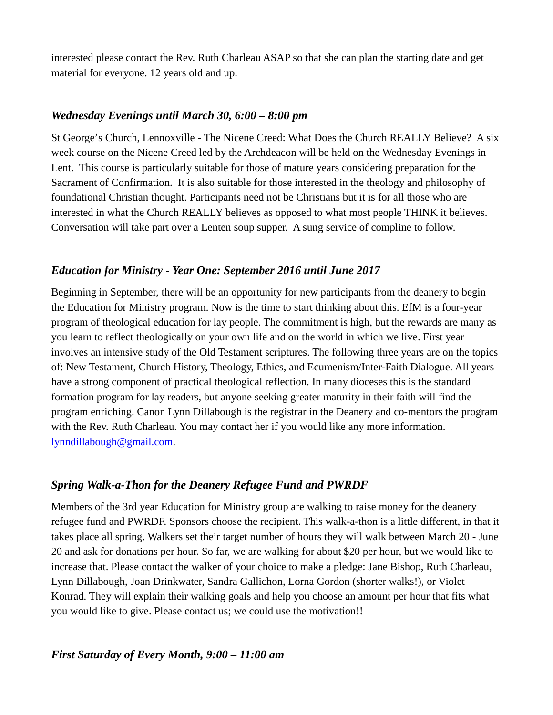interested please contact the Rev. Ruth Charleau ASAP so that she can plan the starting date and get material for everyone. 12 years old and up.

# *Wednesday Evenings until March 30, 6:00 – 8:00 pm*

St George's Church, Lennoxville - The Nicene Creed: What Does the Church REALLY Believe? A six week course on the Nicene Creed led by the Archdeacon will be held on the Wednesday Evenings in Lent. This course is particularly suitable for those of mature years considering preparation for the Sacrament of Confirmation. It is also suitable for those interested in the theology and philosophy of foundational Christian thought. Participants need not be Christians but it is for all those who are interested in what the Church REALLY believes as opposed to what most people THINK it believes. Conversation will take part over a Lenten soup supper. A sung service of compline to follow.

# *Education for Ministry - Year One: September 2016 until June 2017*

Beginning in September, there will be an opportunity for new participants from the deanery to begin the Education for Ministry program. Now is the time to start thinking about this. EfM is a four-year program of theological education for lay people. The commitment is high, but the rewards are many as you learn to reflect theologically on your own life and on the world in which we live. First year involves an intensive study of the Old Testament scriptures. The following three years are on the topics of: New Testament, Church History, Theology, Ethics, and Ecumenism/Inter-Faith Dialogue. All years have a strong component of practical theological reflection. In many dioceses this is the standard formation program for lay readers, but anyone seeking greater maturity in their faith will find the program enriching. Canon Lynn Dillabough is the registrar in the Deanery and co-mentors the program with the Rev. Ruth Charleau. You may contact her if you would like any more information. [lynndillabough@gmail.com.](https://webmail.ubishops.ca/owa/redir.aspx?SURL=hdjYUT7WCUNYqFZijozknMHWJ3aRy6vsqTzrilp56ZtP3_2s-BXTCG0AYQBpAGwAdABvADoAbAB5AG4AbgBkAGkAbABsAGEAYgBvAHUAZwBoAEAAZwBtAGEAaQBsAC4AYwBvAG0A&URL=mailto%3Alynndillabough@gmail.com)

# *Spring Walk-a-Thon for the Deanery Refugee Fund and PWRDF*

Members of the 3rd year Education for Ministry group are walking to raise money for the deanery refugee fund and PWRDF. Sponsors choose the recipient. This walk-a-thon is a little different, in that it takes place all spring. Walkers set their target number of hours they will walk between March 20 - June 20 and ask for donations per hour. So far, we are walking for about \$20 per hour, but we would like to increase that. Please contact the walker of your choice to make a pledge: Jane Bishop, Ruth Charleau, Lynn Dillabough, Joan Drinkwater, Sandra Gallichon, Lorna Gordon (shorter walks!), or Violet Konrad. They will explain their walking goals and help you choose an amount per hour that fits what you would like to give. Please contact us; we could use the motivation!!

# *First Saturday of Every Month, 9:00 – 11:00 am*